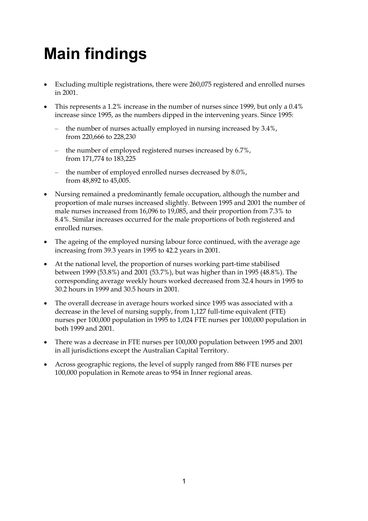# **Main findings**

- Excluding multiple registrations, there were 260,075 registered and enrolled nurses in 2001.
- This represents a 1.2% increase in the number of nurses since 1999, but only a 0.4% increase since 1995, as the numbers dipped in the intervening years. Since 1995:
	- the number of nurses actually employed in nursing increased by 3.4%, from 220,666 to 228,230
	- the number of employed registered nurses increased by 6.7%, from 171,774 to 183,225
	- the number of employed enrolled nurses decreased by 8.0%, from 48,892 to 45,005.
- Nursing remained a predominantly female occupation, although the number and proportion of male nurses increased slightly. Between 1995 and 2001 the number of male nurses increased from 16,096 to 19,085, and their proportion from 7.3% to 8.4%. Similar increases occurred for the male proportions of both registered and enrolled nurses.
- The ageing of the employed nursing labour force continued, with the average age increasing from 39.3 years in 1995 to 42.2 years in 2001.
- At the national level, the proportion of nurses working part-time stabilised between 1999 (53.8%) and 2001 (53.7%), but was higher than in 1995 (48.8%). The corresponding average weekly hours worked decreased from 32.4 hours in 1995 to 30.2 hours in 1999 and 30.5 hours in 2001.
- The overall decrease in average hours worked since 1995 was associated with a decrease in the level of nursing supply, from 1,127 full-time equivalent (FTE) nurses per 100,000 population in 1995 to 1,024 FTE nurses per 100,000 population in both 1999 and 2001.
- There was a decrease in FTE nurses per 100,000 population between 1995 and 2001 in all jurisdictions except the Australian Capital Territory.
- Across geographic regions, the level of supply ranged from 886 FTE nurses per 100,000 population in Remote areas to 954 in Inner regional areas.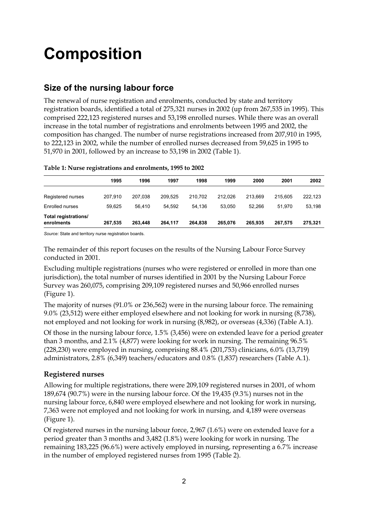# **Composition**

## **Size of the nursing labour force**

The renewal of nurse registration and enrolments, conducted by state and territory registration boards, identified a total of 275,321 nurses in 2002 (up from 267,535 in 1995). This comprised 222,123 registered nurses and 53,198 enrolled nurses. While there was an overall increase in the total number of registrations and enrolments between 1995 and 2002, the composition has changed. The number of nurse registrations increased from 207,910 in 1995, to 222,123 in 2002, while the number of enrolled nurses decreased from 59,625 in 1995 to 51,970 in 2001, followed by an increase to 53,198 in 2002 (Table 1).

|                                    | 1995    | 1996    | 1997    | 1998    | 1999    | 2000    | 2001    | 2002    |
|------------------------------------|---------|---------|---------|---------|---------|---------|---------|---------|
| Registered nurses                  | 207.910 | 207.038 | 209.525 | 210.702 | 212.026 | 213.669 | 215.605 | 222,123 |
| Enrolled nurses                    | 59.625  | 56.410  | 54.592  | 54.136  | 53.050  | 52.266  | 51.970  | 53,198  |
| Total registrations/<br>enrolments | 267,535 | 263.448 | 264.117 | 264.838 | 265.076 | 265.935 | 267.575 | 275,321 |

#### **Table 1: Nurse registrations and enrolments, 1995 to 2002**

*Source:* State and territory nurse registration boards.

The remainder of this report focuses on the results of the Nursing Labour Force Survey conducted in 2001.

Excluding multiple registrations (nurses who were registered or enrolled in more than one jurisdiction), the total number of nurses identified in 2001 by the Nursing Labour Force Survey was 260,075, comprising 209,109 registered nurses and 50,966 enrolled nurses (Figure 1).

The majority of nurses (91.0% or 236,562) were in the nursing labour force. The remaining 9.0% (23,512) were either employed elsewhere and not looking for work in nursing (8,738), not employed and not looking for work in nursing (8,982), or overseas (4,336) (Table A.1).

Of those in the nursing labour force, 1.5% (3,456) were on extended leave for a period greater than 3 months, and 2.1% (4,877) were looking for work in nursing. The remaining 96.5% (228,230) were employed in nursing, comprising 88.4% (201,753) clinicians, 6.0% (13,719) administrators, 2.8% (6,349) teachers/educators and 0.8% (1,837) researchers (Table A.1).

### **Registered nurses**

Allowing for multiple registrations, there were 209,109 registered nurses in 2001, of whom 189,674 (90.7%) were in the nursing labour force. Of the 19,435 (9.3%) nurses not in the nursing labour force, 6,840 were employed elsewhere and not looking for work in nursing, 7,363 were not employed and not looking for work in nursing, and 4,189 were overseas (Figure 1).

Of registered nurses in the nursing labour force, 2,967 (1.6%) were on extended leave for a period greater than 3 months and 3,482 (1.8%) were looking for work in nursing. The remaining 183,225 (96.6%) were actively employed in nursing, representing a 6.7% increase in the number of employed registered nurses from 1995 (Table 2).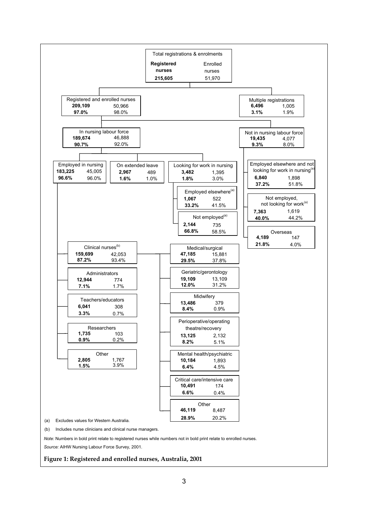

**Figure 1: Registered and enrolled nurses, Australia, 2001**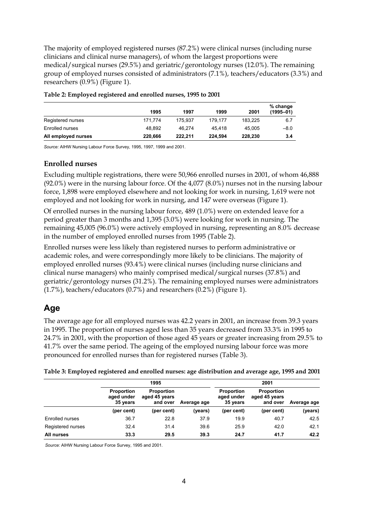The majority of employed registered nurses (87.2%) were clinical nurses (including nurse clinicians and clinical nurse managers), of whom the largest proportions were medical/surgical nurses (29.5%) and geriatric/gerontology nurses (12.0%). The remaining group of employed nurses consisted of administrators (7.1%), teachers/educators (3.3%) and researchers (0.9%) (Figure 1).

|                     | 1995    | 1997    | 1999    | 2001    | % change<br>$(1995 - 01)$ |
|---------------------|---------|---------|---------|---------|---------------------------|
| Registered nurses   | 171.774 | 175.937 | 179.177 | 183.225 | 6.7                       |
| Enrolled nurses     | 48.892  | 46.274  | 45.418  | 45.005  | $-8.0$                    |
| All employed nurses | 220,666 | 222.211 | 224.594 | 228,230 | 3.4                       |

#### **Table 2: Employed registered and enrolled nurses, 1995 to 2001**

*Source:* AIHW Nursing Labour Force Survey, 1995, 1997, 1999 and 2001.

#### **Enrolled nurses**

Excluding multiple registrations, there were 50,966 enrolled nurses in 2001, of whom 46,888 (92.0%) were in the nursing labour force. Of the 4,077 (8.0%) nurses not in the nursing labour force, 1,898 were employed elsewhere and not looking for work in nursing, 1,619 were not employed and not looking for work in nursing, and 147 were overseas (Figure 1).

Of enrolled nurses in the nursing labour force, 489 (1.0%) were on extended leave for a period greater than 3 months and 1,395 (3.0%) were looking for work in nursing. The remaining 45,005 (96.0%) were actively employed in nursing, representing an 8.0% decrease in the number of employed enrolled nurses from 1995 (Table 2).

Enrolled nurses were less likely than registered nurses to perform administrative or academic roles, and were correspondingly more likely to be clinicians. The majority of employed enrolled nurses (93.4%) were clinical nurses (including nurse clinicians and clinical nurse managers) who mainly comprised medical/surgical nurses (37.8%) and geriatric/gerontology nurses (31.2%). The remaining employed nurses were administrators (1.7%), teachers/educators (0.7%) and researchers (0.2%) (Figure 1).

### **Age**

The average age for all employed nurses was 42.2 years in 2001, an increase from 39.3 years in 1995. The proportion of nurses aged less than 35 years decreased from 33.3% in 1995 to 24.7% in 2001, with the proportion of those aged 45 years or greater increasing from 29.5% to 41.7% over the same period. The ageing of the employed nursing labour force was more pronounced for enrolled nurses than for registered nurses (Table 3).

| Table 3: Employed registered and enrolled nurses: age distribution and average age, 1995 and 2001 |  |  |
|---------------------------------------------------------------------------------------------------|--|--|
|                                                                                                   |  |  |

|                   |                                                                                               | 1995       |             | 2001                                        |                                                |             |
|-------------------|-----------------------------------------------------------------------------------------------|------------|-------------|---------------------------------------------|------------------------------------------------|-------------|
|                   | <b>Proportion</b><br><b>Proportion</b><br>aged under<br>aged 45 years<br>35 years<br>and over |            | Average age | <b>Proportion</b><br>aged under<br>35 years | <b>Proportion</b><br>aged 45 years<br>and over | Average age |
|                   | (per cent)                                                                                    | (per cent) | (years)     | (per cent)                                  | (per cent)                                     | (years)     |
| Enrolled nurses   | 36.7                                                                                          | 22.8       | 37.9        | 19.9                                        | 40.7                                           | 42.5        |
| Registered nurses | 32.4                                                                                          | 31.4       | 39.6        | 25.9                                        | 42.0                                           | 42.1        |
| All nurses        | 33.3                                                                                          | 29.5       | 39.3        | 24.7                                        | 41.7                                           | 42.2        |

 *Source:* AIHW Nursing Labour Force Survey, 1995 and 2001.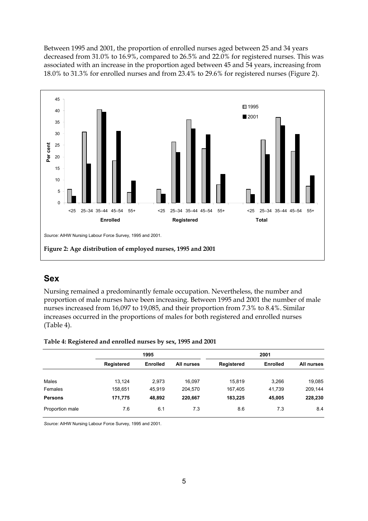Between 1995 and 2001, the proportion of enrolled nurses aged between 25 and 34 years decreased from 31.0% to 16.9%, compared to 26.5% and 22.0% for registered nurses. This was associated with an increase in the proportion aged between 45 and 54 years, increasing from 18.0% to 31.3% for enrolled nurses and from 23.4% to 29.6% for registered nurses (Figure 2).



## **Sex**

Nursing remained a predominantly female occupation. Nevertheless, the number and proportion of male nurses have been increasing. Between 1995 and 2001 the number of male nurses increased from 16,097 to 19,085, and their proportion from 7.3% to 8.4%. Similar increases occurred in the proportions of males for both registered and enrolled nurses (Table 4).

| Table 4: Registered and enrolled nurses by sex, 1995 and 2001 |  |  |
|---------------------------------------------------------------|--|--|
|                                                               |  |  |

|                 | 1995              |                 |            | 2001       |                 |            |  |
|-----------------|-------------------|-----------------|------------|------------|-----------------|------------|--|
|                 | <b>Registered</b> | <b>Enrolled</b> | All nurses | Registered | <b>Enrolled</b> | All nurses |  |
| Males           | 13,124            | 2,973           | 16,097     | 15,819     | 3,266           | 19,085     |  |
| Females         | 158,651           | 45,919          | 204,570    | 167,405    | 41,739          | 209,144    |  |
| <b>Persons</b>  | 171,775           | 48,892          | 220,667    | 183,225    | 45,005          | 228,230    |  |
| Proportion male | 7.6               | 6.1             | 7.3        | 8.6        | 7.3             | 8.4        |  |

*Source:* AIHW Nursing Labour Force Survey, 1995 and 2001.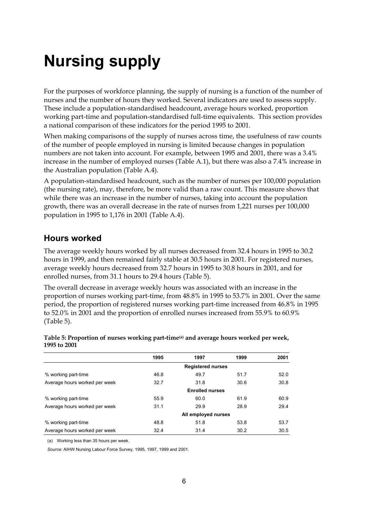# **Nursing supply**

For the purposes of workforce planning, the supply of nursing is a function of the number of nurses and the number of hours they worked. Several indicators are used to assess supply. These include a population-standardised headcount, average hours worked, proportion working part-time and population-standardised full-time equivalents. This section provides a national comparison of these indicators for the period 1995 to 2001.

When making comparisons of the supply of nurses across time, the usefulness of raw counts of the number of people employed in nursing is limited because changes in population numbers are not taken into account. For example, between 1995 and 2001, there was a 3.4% increase in the number of employed nurses (Table A.1), but there was also a 7.4% increase in the Australian population (Table A.4).

A population-standardised headcount, such as the number of nurses per 100,000 population (the nursing rate), may, therefore, be more valid than a raw count. This measure shows that while there was an increase in the number of nurses, taking into account the population growth, there was an overall decrease in the rate of nurses from 1,221 nurses per 100,000 population in 1995 to 1,176 in 2001 (Table A.4).

## **Hours worked**

The average weekly hours worked by all nurses decreased from 32.4 hours in 1995 to 30.2 hours in 1999, and then remained fairly stable at 30.5 hours in 2001. For registered nurses, average weekly hours decreased from 32.7 hours in 1995 to 30.8 hours in 2001, and for enrolled nurses, from 31.1 hours to 29.4 hours (Table 5).

The overall decrease in average weekly hours was associated with an increase in the proportion of nurses working part-time, from 48.8% in 1995 to 53.7% in 2001. Over the same period, the proportion of registered nurses working part-time increased from 46.8% in 1995 to 52.0% in 2001 and the proportion of enrolled nurses increased from 55.9% to 60.9% (Table 5).

|                               | 1995                     | 1997 | 1999 | 2001 |  |  |  |  |
|-------------------------------|--------------------------|------|------|------|--|--|--|--|
|                               | <b>Registered nurses</b> |      |      |      |  |  |  |  |
| % working part-time           | 46.8                     | 49.7 | 51.7 | 52.0 |  |  |  |  |
| Average hours worked per week | 32.7                     | 31.8 | 30.6 | 30.8 |  |  |  |  |
|                               | <b>Enrolled nurses</b>   |      |      |      |  |  |  |  |
| % working part-time           | 55.9                     | 60.0 | 61.9 | 60.9 |  |  |  |  |
| Average hours worked per week | 31.1                     | 29.9 | 28.9 | 29.4 |  |  |  |  |
|                               | All employed nurses      |      |      |      |  |  |  |  |
| % working part-time           | 48.8                     | 51.8 | 53.8 | 53.7 |  |  |  |  |
| Average hours worked per week | 32.4                     | 31.4 | 30.2 | 30.5 |  |  |  |  |
|                               |                          |      |      |      |  |  |  |  |

#### **Table 5: Proportion of nurses working part-time(a) and average hours worked per week, 1995 to 2001**

(a) Working less than 35 hours per week.

*Source:* AIHW Nursing Labour Force Survey, 1995, 1997, 1999 and 2001.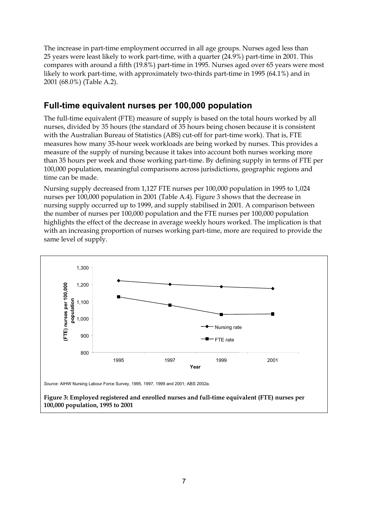The increase in part-time employment occurred in all age groups. Nurses aged less than 25 years were least likely to work part-time, with a quarter (24.9%) part-time in 2001. This compares with around a fifth (19.8%) part-time in 1995. Nurses aged over 65 years were most likely to work part-time, with approximately two-thirds part-time in 1995 (64.1%) and in 2001 (68.0%) (Table A.2).

## **Full-time equivalent nurses per 100,000 population**

The full-time equivalent (FTE) measure of supply is based on the total hours worked by all nurses, divided by 35 hours (the standard of 35 hours being chosen because it is consistent with the Australian Bureau of Statistics (ABS) cut-off for part-time work). That is, FTE measures how many 35-hour week workloads are being worked by nurses. This provides a measure of the supply of nursing because it takes into account both nurses working more than 35 hours per week and those working part-time. By defining supply in terms of FTE per 100,000 population, meaningful comparisons across jurisdictions, geographic regions and time can be made.

Nursing supply decreased from 1,127 FTE nurses per 100,000 population in 1995 to 1,024 nurses per 100,000 population in 2001 (Table A.4). Figure 3 shows that the decrease in nursing supply occurred up to 1999, and supply stabilised in 2001. A comparison between the number of nurses per 100,000 population and the FTE nurses per 100,000 population highlights the effect of the decrease in average weekly hours worked. The implication is that with an increasing proportion of nurses working part-time, more are required to provide the same level of supply.



*Source:* AIHW Nursing Labour Force Survey, 1995, 1997, 1999 and 2001; ABS 2002a.

**Figure 3: Employed registered and enrolled nurses and full-time equivalent (FTE) nurses per 100,000 population, 1995 to 2001**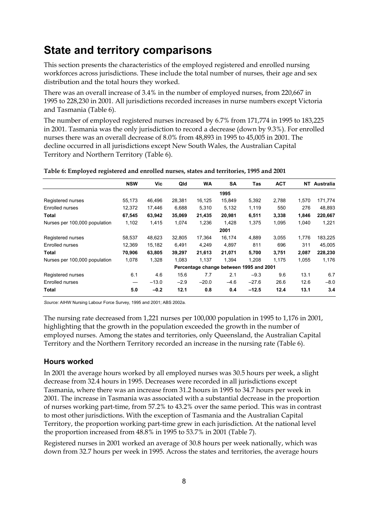# **State and territory comparisons**

This section presents the characteristics of the employed registered and enrolled nursing workforces across jurisdictions. These include the total number of nurses, their age and sex distribution and the total hours they worked.

There was an overall increase of 3.4% in the number of employed nurses, from 220,667 in 1995 to 228,230 in 2001. All jurisdictions recorded increases in nurse numbers except Victoria and Tasmania (Table 6).

The number of employed registered nurses increased by 6.7% from 171,774 in 1995 to 183,225 in 2001. Tasmania was the only jurisdiction to record a decrease (down by 9.3%). For enrolled nurses there was an overall decrease of 8.0% from 48,893 in 1995 to 45,005 in 2001. The decline occurred in all jurisdictions except New South Wales, the Australian Capital Territory and Northern Territory (Table 6).

|                               | <b>NSW</b> | Vic     | Qld    | <b>WA</b> | <b>SA</b>                               | Tas     | <b>ACT</b> | NT    | Australia |
|-------------------------------|------------|---------|--------|-----------|-----------------------------------------|---------|------------|-------|-----------|
|                               |            |         |        |           | 1995                                    |         |            |       |           |
| Registered nurses             | 55,173     | 46,496  | 28,381 | 16,125    | 15,849                                  | 5,392   | 2,788      | 1,570 | 171,774   |
| Enrolled nurses               | 12,372     | 17,446  | 6,688  | 5,310     | 5,132                                   | 1,119   | 550        | 276   | 48,893    |
| Total                         | 67,545     | 63,942  | 35,069 | 21,435    | 20,981                                  | 6,511   | 3,338      | 1,846 | 220,667   |
| Nurses per 100,000 population | 1,102      | 1,415   | 1,074  | 1,236     | 1,428                                   | 1,375   | 1,095      | 1,040 | 1,221     |
|                               |            |         |        |           | 2001                                    |         |            |       |           |
| Registered nurses             | 58,537     | 48,623  | 32.805 | 17,364    | 16,174                                  | 4,889   | 3.055      | 1,776 | 183,225   |
| Enrolled nurses               | 12.369     | 15,182  | 6.491  | 4.249     | 4.897                                   | 811     | 696        | 311   | 45,005    |
| Total                         | 70,906     | 63,805  | 39,297 | 21,613    | 21,071                                  | 5,700   | 3,751      | 2,087 | 228,230   |
| Nurses per 100,000 population | 1,078      | 1,328   | 1,083  | 1,137     | 1,394                                   | 1,208   | 1,175      | 1,055 | 1,176     |
|                               |            |         |        |           | Percentage change between 1995 and 2001 |         |            |       |           |
| Registered nurses             | 6.1        | 4.6     | 15.6   | 7.7       | 2.1                                     | $-9.3$  | 9.6        | 13.1  | 6.7       |
| <b>Enrolled nurses</b>        |            | $-13.0$ | $-2.9$ | $-20.0$   | $-4.6$                                  | $-27.6$ | 26.6       | 12.6  | $-8.0$    |
| Total                         | 5.0        | $-0.2$  | 12.1   | 0.8       | 0.4                                     | $-12.5$ | 12.4       | 13.1  | 3.4       |

#### **Table 6: Employed registered and enrolled nurses, states and territories, 1995 and 2001**

*Source:* AIHW Nursing Labour Force Survey, 1995 and 2001; ABS 2002a.

The nursing rate decreased from 1,221 nurses per 100,000 population in 1995 to 1,176 in 2001, highlighting that the growth in the population exceeded the growth in the number of employed nurses. Among the states and territories, only Queensland, the Australian Capital Territory and the Northern Territory recorded an increase in the nursing rate (Table 6).

### **Hours worked**

In 2001 the average hours worked by all employed nurses was 30.5 hours per week, a slight decrease from 32.4 hours in 1995. Decreases were recorded in all jurisdictions except Tasmania, where there was an increase from 31.2 hours in 1995 to 34.7 hours per week in 2001. The increase in Tasmania was associated with a substantial decrease in the proportion of nurses working part-time, from 57.2% to 43.2% over the same period. This was in contrast to most other jurisdictions. With the exception of Tasmania and the Australian Capital Territory, the proportion working part-time grew in each jurisdiction. At the national level the proportion increased from 48.8% in 1995 to 53.7% in 2001 (Table 7).

Registered nurses in 2001 worked an average of 30.8 hours per week nationally, which was down from 32.7 hours per week in 1995. Across the states and territories, the average hours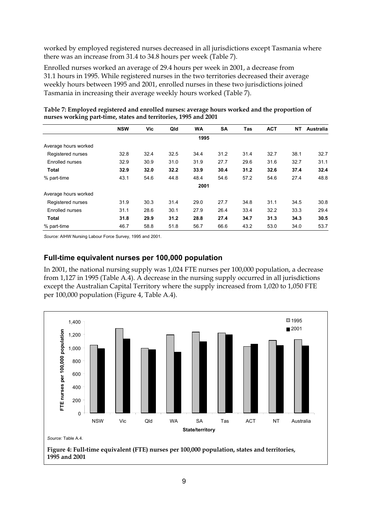worked by employed registered nurses decreased in all jurisdictions except Tasmania where there was an increase from 31.4 to 34.8 hours per week (Table 7).

Enrolled nurses worked an average of 29.4 hours per week in 2001, a decrease from 31.1 hours in 1995. While registered nurses in the two territories decreased their average weekly hours between 1995 and 2001, enrolled nurses in these two jurisdictions joined Tasmania in increasing their average weekly hours worked (Table 7).

|                      | <b>NSW</b> | Vic  | Qld  | <b>WA</b> | <b>SA</b> | Tas  | <b>ACT</b> | <b>NT</b> | Australia |
|----------------------|------------|------|------|-----------|-----------|------|------------|-----------|-----------|
|                      |            |      |      | 1995      |           |      |            |           |           |
| Average hours worked |            |      |      |           |           |      |            |           |           |
| Registered nurses    | 32.8       | 32.4 | 32.5 | 34.4      | 31.2      | 31.4 | 32.7       | 38.1      | 32.7      |
| Enrolled nurses      | 32.9       | 30.9 | 31.0 | 31.9      | 27.7      | 29.6 | 31.6       | 32.7      | 31.1      |
| <b>Total</b>         | 32.9       | 32.0 | 32.2 | 33.9      | 30.4      | 31.2 | 32.6       | 37.4      | 32.4      |
| % part-time          | 43.1       | 54.6 | 44.8 | 48.4      | 54.6      | 57.2 | 54.6       | 27.4      | 48.8      |
|                      |            |      |      | 2001      |           |      |            |           |           |
| Average hours worked |            |      |      |           |           |      |            |           |           |
| Registered nurses    | 31.9       | 30.3 | 31.4 | 29.0      | 27.7      | 34.8 | 31.1       | 34.5      | 30.8      |
| Enrolled nurses      | 31.1       | 28.6 | 30.1 | 27.9      | 26.4      | 33.4 | 32.2       | 33.3      | 29.4      |
| <b>Total</b>         | 31.8       | 29.9 | 31.2 | 28.8      | 27.4      | 34.7 | 31.3       | 34.3      | 30.5      |
| % part-time          | 46.7       | 58.8 | 51.8 | 56.7      | 66.6      | 43.2 | 53.0       | 34.0      | 53.7      |

**Table 7: Employed registered and enrolled nurses: average hours worked and the proportion of nurses working part-time, states and territories, 1995 and 2001**

*Source:* AIHW Nursing Labour Force Survey, 1995 and 2001.

### **Full-time equivalent nurses per 100,000 population**

In 2001, the national nursing supply was 1,024 FTE nurses per 100,000 population, a decrease from 1,127 in 1995 (Table A.4). A decrease in the nursing supply occurred in all jurisdictions except the Australian Capital Territory where the supply increased from 1,020 to 1,050 FTE per 100,000 population (Figure 4, Table A.4).



**Figure 4: Full-time equivalent (FTE) nurses per 100,000 population, states and territories, 1995 and 2001**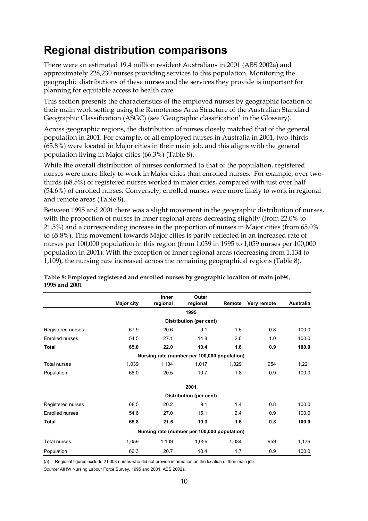# **Regional distribution comparisons**

There were an estimated 19.4 million resident Australians in 2001 (ABS 2002a) and approximately 228,230 nurses providing services to this population. Monitoring the geographic distributions of these nurses and the services they provide is important for planning for equitable access to health care.

This section presents the characteristics of the employed nurses by geographic location of their main work setting using the Remoteness Area Structure of the Australian Standard Geographic Classification (ASGC) (see 'Geographic classification' in the Glossary).

Across geographic regions, the distribution of nurses closely matched that of the general population in 2001. For example, of all employed nurses in Australia in 2001, two-thirds (65.8%) were located in Major cities in their main job, and this aligns with the general population living in Major cities (66.3%) (Table 8).

While the overall distribution of nurses conformed to that of the population, registered nurses were more likely to work in Major cities than enrolled nurses. For example, over twothirds (68.5%) of registered nurses worked in major cities, compared with just over half (54.6%) of enrolled nurses. Conversely, enrolled nurses were more likely to work in regional and remote areas (Table 8).

Between 1995 and 2001 there was a slight movement in the geographic distribution of nurses, with the proportion of nurses in Inner regional areas decreasing slightly (from 22.0% to 21.5%) and a corresponding increase in the proportion of nurses in Major cities (from 65.0% to 65.8%). This movement towards Major cities is partly reflected in an increased rate of nurses per 100,000 population in this region (from 1,039 in 1995 to 1,059 nurses per 100,000 population in 2001). With the exception of Inner regional areas (decreasing from 1,134 to 1,109), the nursing rate increased across the remaining geographical regions (Table 8).

|                                              |                   | Inner    | Outer                   |                                              |             |           |  |  |  |
|----------------------------------------------|-------------------|----------|-------------------------|----------------------------------------------|-------------|-----------|--|--|--|
|                                              | <b>Major city</b> | regional | regional                | Remote                                       | Very remote | Australia |  |  |  |
|                                              |                   |          | 1995                    |                                              |             |           |  |  |  |
|                                              |                   |          | Distribution (per cent) |                                              |             |           |  |  |  |
| Registered nurses                            | 67.9              | 20.6     | 9.1                     | 1.5                                          | 0.8         | 100.0     |  |  |  |
| Enrolled nurses                              | 54.5              | 27.1     | 14.8                    | 2.6                                          | 1.0         | 100.0     |  |  |  |
| <b>Total</b>                                 | 65.0              | 22.0     | 10.4                    | 1.8                                          | 0.9         | 100.0     |  |  |  |
| Nursing rate (number per 100,000 population) |                   |          |                         |                                              |             |           |  |  |  |
| Total nurses                                 | 1,039             | 1,134    | 1,017                   | 1,029                                        | 954         | 1,221     |  |  |  |
| Population                                   | 66.0              | 20.5     | 10.7                    | 1.8                                          | 0.9         | 100.0     |  |  |  |
|                                              |                   |          | 2001                    |                                              |             |           |  |  |  |
|                                              |                   |          | Distribution (per cent) |                                              |             |           |  |  |  |
| Registered nurses                            | 68.5              | 20.2     | 9.1                     | 1.4                                          | 0.8         | 100.0     |  |  |  |
| Enrolled nurses                              | 54.6              | 27.0     | 15.1                    | 2.4                                          | 0.9         | 100.0     |  |  |  |
| Total                                        | 65.8              | 21.5     | 10.3                    | 1.6                                          | 0.8         | 100.0     |  |  |  |
|                                              |                   |          |                         | Nursing rate (number per 100,000 population) |             |           |  |  |  |
| <b>Total nurses</b>                          | 1,059             | 1,109    | 1,056                   | 1,034                                        | 959         | 1,176     |  |  |  |
| Population                                   | 66.3              | 20.7     | 10.4                    | 1.7                                          | 0.9         | 100.0     |  |  |  |

**Table 8: Employed registered and enrolled nurses by geographic location of main job(a), 1995 and 2001**

(a) Regional figures exclude 21,003 nurses who did not provide information on the location of their main job. *Source:* AIHW Nursing Labour Force Survey, 1995 and 2001; ABS 2002a.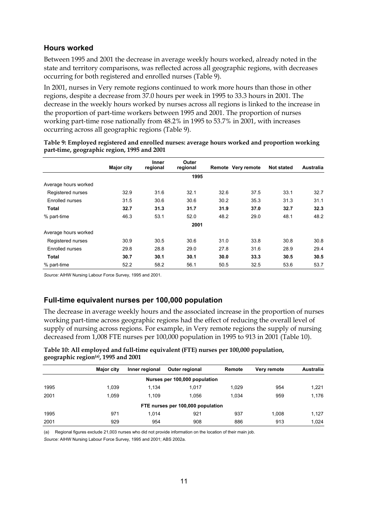### **Hours worked**

Between 1995 and 2001 the decrease in average weekly hours worked, already noted in the state and territory comparisons, was reflected across all geographic regions, with decreases occurring for both registered and enrolled nurses (Table 9).

In 2001, nurses in Very remote regions continued to work more hours than those in other regions, despite a decrease from 37.0 hours per week in 1995 to 33.3 hours in 2001. The decrease in the weekly hours worked by nurses across all regions is linked to the increase in the proportion of part-time workers between 1995 and 2001. The proportion of nurses working part-time rose nationally from 48.2% in 1995 to 53.7% in 2001, with increases occurring across all geographic regions (Table 9).

|                        | <b>Major city</b> | Inner<br>regional | Outer<br>regional |      | Remote Very remote | <b>Not stated</b> | Australia |
|------------------------|-------------------|-------------------|-------------------|------|--------------------|-------------------|-----------|
|                        |                   |                   | 1995              |      |                    |                   |           |
| Average hours worked   |                   |                   |                   |      |                    |                   |           |
| Registered nurses      | 32.9              | 31.6              | 32.1              | 32.6 | 37.5               | 33.1              | 32.7      |
| Enrolled nurses        | 31.5              | 30.6              | 30.6              | 30.2 | 35.3               | 31.3              | 31.1      |
| Total                  | 32.7              | 31.3              | 31.7              | 31.9 | 37.0               | 32.7              | 32.3      |
| % part-time            | 46.3              | 53.1              | 52.0              | 48.2 | 29.0               | 48.1              | 48.2      |
|                        |                   |                   | 2001              |      |                    |                   |           |
| Average hours worked   |                   |                   |                   |      |                    |                   |           |
| Registered nurses      | 30.9              | 30.5              | 30.6              | 31.0 | 33.8               | 30.8              | 30.8      |
| <b>Enrolled nurses</b> | 29.8              | 28.8              | 29.0              | 27.8 | 31.6               | 28.9              | 29.4      |
| Total                  | 30.7              | 30.1              | 30.1              | 30.0 | 33.3               | 30.5              | 30.5      |
| % part-time            | 52.2              | 58.2              | 56.1              | 50.5 | 32.5               | 53.6              | 53.7      |

**Table 9: Employed registered and enrolled nurses: average hours worked and proportion working part-time, geographic region, 1995 and 2001**

*Source:* AIHW Nursing Labour Force Survey, 1995 and 2001.

### **Full-time equivalent nurses per 100,000 population**

The decrease in average weekly hours and the associated increase in the proportion of nurses working part-time across geographic regions had the effect of reducing the overall level of supply of nursing across regions. For example, in Very remote regions the supply of nursing decreased from 1,008 FTE nurses per 100,000 population in 1995 to 913 in 2001 (Table 10).

|                               | <b>Major city</b> | Inner regional | <b>Outer regional</b>             | Remote | Very remote | Australia |  |  |  |  |
|-------------------------------|-------------------|----------------|-----------------------------------|--------|-------------|-----------|--|--|--|--|
| Nurses per 100,000 population |                   |                |                                   |        |             |           |  |  |  |  |
| 1995                          | 1.039             | 1.134          | 1.017                             | 1.029  | 954         | 1,221     |  |  |  |  |
| 2001                          | 1.059             | 1.109          | 1.056                             | 1.034  | 959         | 1,176     |  |  |  |  |
|                               |                   |                | FTE nurses per 100,000 population |        |             |           |  |  |  |  |
| 1995                          | 971               | 1.014          | 921                               | 937    | 1.008       | 1,127     |  |  |  |  |
| 2001                          | 929               | 954            | 908                               | 886    | 913         | 1.024     |  |  |  |  |

**Table 10: All employed and full-time equivalent (FTE) nurses per 100,000 population, geographic region(a), 1995 and 2001**

(a) Regional figures exclude 21,003 nurses who did not provide information on the location of their main job.

*Source:* AIHW Nursing Labour Force Survey, 1995 and 2001; ABS 2002a.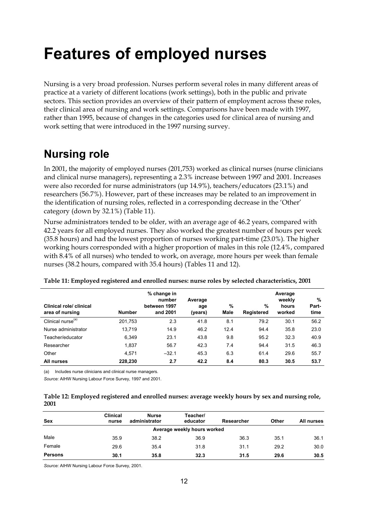# **Features of employed nurses**

Nursing is a very broad profession. Nurses perform several roles in many different areas of practice at a variety of different locations (work settings), both in the public and private sectors. This section provides an overview of their pattern of employment across these roles, their clinical area of nursing and work settings. Comparisons have been made with 1997, rather than 1995, because of changes in the categories used for clinical area of nursing and work setting that were introduced in the 1997 nursing survey.

# **Nursing role**

In 2001, the majority of employed nurses (201,753) worked as clinical nurses (nurse clinicians and clinical nurse managers), representing a 2.3% increase between 1997 and 2001. Increases were also recorded for nurse administrators (up 14.9%), teachers/educators (23.1%) and researchers (56.7%). However, part of these increases may be related to an improvement in the identification of nursing roles, reflected in a corresponding decrease in the 'Other' category (down by 32.1%) (Table 11).

Nurse administrators tended to be older, with an average age of 46.2 years, compared with 42.2 years for all employed nurses. They also worked the greatest number of hours per week (35.8 hours) and had the lowest proportion of nurses working part-time (23.0%). The higher working hours corresponded with a higher proportion of males in this role (12.4%, compared with 8.4% of all nurses) who tended to work, on average, more hours per week than female nurses (38.2 hours, compared with 35.4 hours) (Tables 11 and 12).

| Clinical role/ clinical<br>area of nursing | <b>Number</b> | % change in<br>number<br>between 1997<br>and 2001 | Average<br>age<br>(years) | %<br>Male | %<br>Registered | Average<br>weekly<br>hours<br>worked | %<br>Part-<br>time |
|--------------------------------------------|---------------|---------------------------------------------------|---------------------------|-----------|-----------------|--------------------------------------|--------------------|
| Clinical nurse <sup>(a)</sup>              | 201,753       | 2.3                                               | 41.8                      | 8.1       | 79.2            | 30.1                                 | 56.2               |
| Nurse administrator                        | 13.719        | 14.9                                              | 46.2                      | 12.4      | 94.4            | 35.8                                 | 23.0               |
| Teacher/educator                           | 6,349         | 23.1                                              | 43.8                      | 9.8       | 95.2            | 32.3                                 | 40.9               |
| Researcher                                 | 1,837         | 56.7                                              | 42.3                      | 7.4       | 94.4            | 31.5                                 | 46.3               |
| Other                                      | 4.571         | $-32.1$                                           | 45.3                      | 6.3       | 61.4            | 29.6                                 | 55.7               |
| All nurses                                 | 228,230       | 2.7                                               | 42.2                      | 8.4       | 80.3            | 30.5                                 | 53.7               |

#### **Table 11: Employed registered and enrolled nurses: nurse roles by selected characteristics, 2001**

(a) Includes nurse clinicians and clinical nurse managers.

*Source:* AIHW Nursing Labour Force Survey, 1997 and 2001.

| Table 12: Employed registered and enrolled nurses: average weekly hours by sex and nursing role, |  |
|--------------------------------------------------------------------------------------------------|--|
| 2001                                                                                             |  |

| <b>Sex</b>                  | <b>Clinical</b><br>nurse | <b>Nurse</b><br>administrator | Teacher/<br>educator | Researcher | Other | All nurses |  |  |  |  |
|-----------------------------|--------------------------|-------------------------------|----------------------|------------|-------|------------|--|--|--|--|
| Average weekly hours worked |                          |                               |                      |            |       |            |  |  |  |  |
| Male                        | 35.9                     | 38.2                          | 36.9                 | 36.3       | 35.1  | 36.1       |  |  |  |  |
| Female                      | 29.6                     | 35.4                          | 31.8                 | 31.1       | 29.2  | 30.0       |  |  |  |  |
| <b>Persons</b>              | 30.1                     | 35.8                          | 32.3                 | 31.5       | 29.6  | 30.5       |  |  |  |  |

*Source:* AIHW Nursing Labour Force Survey, 2001.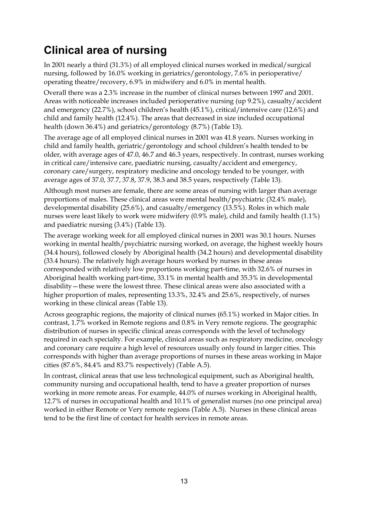# **Clinical area of nursing**

In 2001 nearly a third (31.3%) of all employed clinical nurses worked in medical/surgical nursing, followed by 16.0% working in geriatrics/gerontology, 7.6% in perioperative/ operating theatre/recovery, 6.9% in midwifery and 6.0% in mental health.

Overall there was a 2.3% increase in the number of clinical nurses between 1997 and 2001. Areas with noticeable increases included perioperative nursing (up 9.2%), casualty/accident and emergency (22.7%), school children's health (45.1%), critical/intensive care (12.6%) and child and family health (12.4%). The areas that decreased in size included occupational health (down 36.4%) and geriatrics/gerontology (8.7%) (Table 13).

The average age of all employed clinical nurses in 2001 was 41.8 years. Nurses working in child and family health, geriatric/gerontology and school children's health tended to be older, with average ages of 47.0, 46.7 and 46.3 years, respectively. In contrast, nurses working in critical care/intensive care, paediatric nursing, casualty/accident and emergency, coronary care/surgery, respiratory medicine and oncology tended to be younger, with average ages of 37.0, 37.7, 37.8, 37.9, 38.3 and 38.5 years, respectively (Table 13).

Although most nurses are female, there are some areas of nursing with larger than average proportions of males. These clinical areas were mental health/psychiatric (32.4% male), developmental disability (25.6%), and casualty/emergency (13.5%). Roles in which male nurses were least likely to work were midwifery (0.9% male), child and family health (1.1%) and paediatric nursing (3.4%) (Table 13).

The average working week for all employed clinical nurses in 2001 was 30.1 hours. Nurses working in mental health/psychiatric nursing worked, on average, the highest weekly hours (34.4 hours), followed closely by Aboriginal health (34.2 hours) and developmental disability (33.4 hours). The relatively high average hours worked by nurses in these areas corresponded with relatively low proportions working part-time, with 32.6% of nurses in Aboriginal health working part-time, 33.1% in mental health and 35.3% in developmental disability—these were the lowest three. These clinical areas were also associated with a higher proportion of males, representing 13.3%, 32.4% and 25.6%, respectively, of nurses working in these clinical areas (Table 13).

Across geographic regions, the majority of clinical nurses (65.1%) worked in Major cities. In contrast, 1.7% worked in Remote regions and 0.8% in Very remote regions. The geographic distribution of nurses in specific clinical areas corresponds with the level of technology required in each specialty. For example, clinical areas such as respiratory medicine, oncology and coronary care require a high level of resources usually only found in larger cities. This corresponds with higher than average proportions of nurses in these areas working in Major cities (87.6%, 84.4% and 83.7% respectively) (Table A.5).

In contrast, clinical areas that use less technological equipment, such as Aboriginal health, community nursing and occupational health, tend to have a greater proportion of nurses working in more remote areas. For example, 44.0% of nurses working in Aboriginal health, 12.7% of nurses in occupational health and 10.1% of generalist nurses (no one principal area) worked in either Remote or Very remote regions (Table A.5). Nurses in these clinical areas tend to be the first line of contact for health services in remote areas.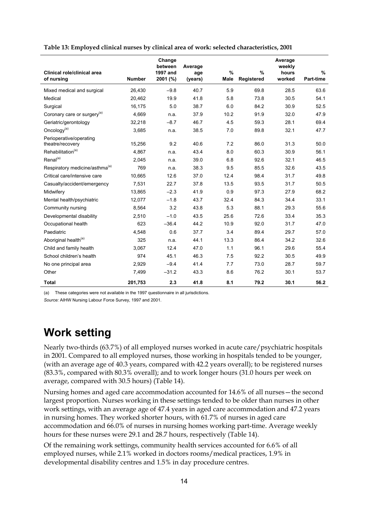|                                             |               | Change<br>between    | Average        |              |                    | Average<br>weekly |                   |
|---------------------------------------------|---------------|----------------------|----------------|--------------|--------------------|-------------------|-------------------|
| Clinical role/clinical area<br>of nursing   | <b>Number</b> | 1997 and<br>2001 (%) | age<br>(years) | $\%$<br>Male | $\%$<br>Registered | hours<br>worked   | $\%$<br>Part-time |
| Mixed medical and surgical                  | 26,430        | $-9.8$               | 40.7           | 5.9          | 69.8               | 28.5              | 63.6              |
| Medical                                     | 20,462        | 19.9                 | 41.8           | 5.8          | 73.8               | 30.5              | 54.1              |
| Surgical                                    | 16,175        | 5.0                  | 38.7           | 6.0          | 84.2               | 30.9              | 52.5              |
| Coronary care or surgery <sup>(a)</sup>     | 4,669         | n.a.                 | 37.9           | 10.2         | 91.9               | 32.0              | 47.9              |
| Geriatric/gerontology                       | 32,218        | $-8.7$               | 46.7           | 4.5          | 59.3               | 28.1              | 69.4              |
| Oncology <sup>(a)</sup>                     | 3,685         | n.a.                 | 38.5           | 7.0          | 89.8               | 32.1              | 47.7              |
| Perioperative/operating<br>theatre/recovery | 15,256        | 9.2                  | 40.6           | 7.2          | 86.0               | 31.3              | 50.0              |
| Rehabilitation <sup>(a)</sup>               | 4,867         | n.a.                 | 43.4           | 8.0          | 60.3               | 30.9              | 56.1              |
| $Renal^{(a)}$                               | 2.045         | n.a.                 | 39.0           | 6.8          | 92.6               | 32.1              | 46.5              |
| Respiratory medicine/asthma <sup>(a)</sup>  | 769           | n.a.                 | 38.3           | 9.5          | 85.5               | 32.6              | 43.5              |
| Critical care/intensive care                | 10.665        | 12.6                 | 37.0           | 12.4         | 98.4               | 31.7              | 49.8              |
| Casualty/accident/emergency                 | 7,531         | 22.7                 | 37.8           | 13.5         | 93.5               | 31.7              | 50.5              |
| Midwifery                                   | 13,865        | $-2.3$               | 41.9           | 0.9          | 97.3               | 27.9              | 68.2              |
| Mental health/psychiatric                   | 12,077        | $-1.8$               | 43.7           | 32.4         | 84.3               | 34.4              | 33.1              |
| Community nursing                           | 8,564         | 3.2                  | 43.8           | 5.3          | 88.1               | 29.3              | 55.6              |
| Developmental disability                    | 2,510         | $-1.0$               | 43.5           | 25.6         | 72.6               | 33.4              | 35.3              |
| Occupational health                         | 623           | $-36.4$              | 44.2           | 10.9         | 92.0               | 31.7              | 47.0              |
| Paediatric                                  | 4,548         | 0.6                  | 37.7           | 3.4          | 89.4               | 29.7              | 57.0              |
| Aboriginal health <sup>(a)</sup>            | 325           | n.a.                 | 44.1           | 13.3         | 86.4               | 34.2              | 32.6              |
| Child and family health                     | 3,067         | 12.4                 | 47.0           | 1.1          | 96.1               | 29.6              | 55.4              |
| School children's health                    | 974           | 45.1                 | 46.3           | 7.5          | 92.2               | 30.5              | 49.9              |
| No one principal area                       | 2,929         | $-9.4$               | 41.4           | 7.7          | 73.0               | 28.7              | 59.7              |
| Other                                       | 7,499         | $-31.2$              | 43.3           | 8.6          | 76.2               | 30.1              | 53.7              |
| <b>Total</b>                                | 201,753       | 2.3                  | 41.8           | 8.1          | 79.2               | 30.1              | 56.2              |

**Table 13: Employed clinical nurses by clinical area of work: selected characteristics, 2001**

(a) These categories were not available in the 1997 questionnaire in all jurisdictions.

*Source:* AIHW Nursing Labour Force Survey, 1997 and 2001.

# **Work setting**

Nearly two-thirds (63.7%) of all employed nurses worked in acute care/psychiatric hospitals in 2001. Compared to all employed nurses, those working in hospitals tended to be younger, (with an average age of 40.3 years, compared with 42.2 years overall); to be registered nurses (83.3%, compared with 80.3% overall); and to work longer hours (31.0 hours per week on average, compared with 30.5 hours) (Table 14).

Nursing homes and aged care accommodation accounted for 14.6% of all nurses—the second largest proportion. Nurses working in these settings tended to be older than nurses in other work settings, with an average age of 47.4 years in aged care accommodation and 47.2 years in nursing homes. They worked shorter hours, with 61.7% of nurses in aged care accommodation and 66.0% of nurses in nursing homes working part-time. Average weekly hours for these nurses were 29.1 and 28.7 hours, respectively (Table 14).

Of the remaining work settings, community health services accounted for 6.6% of all employed nurses, while 2.1% worked in doctors rooms/medical practices, 1.9% in developmental disability centres and 1.5% in day procedure centres.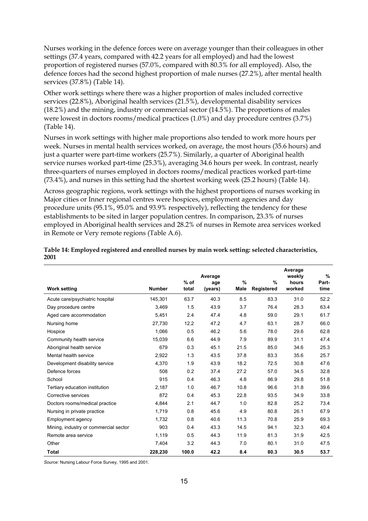Nurses working in the defence forces were on average younger than their colleagues in other settings (37.4 years, compared with 42.2 years for all employed) and had the lowest proportion of registered nurses (57.0%, compared with 80.3% for all employed). Also, the defence forces had the second highest proportion of male nurses (27.2%), after mental health services (37.8%) (Table 14).

Other work settings where there was a higher proportion of males included corrective services (22.8%), Aboriginal health services (21.5%), developmental disability services (18.2%) and the mining, industry or commercial sector (14.5%). The proportions of males were lowest in doctors rooms/medical practices (1.0%) and day procedure centres (3.7%) (Table 14).

Nurses in work settings with higher male proportions also tended to work more hours per week. Nurses in mental health services worked, on average, the most hours (35.6 hours) and just a quarter were part-time workers (25.7%). Similarly, a quarter of Aboriginal health service nurses worked part-time (25.3%), averaging 34.6 hours per week. In contrast, nearly three-quarters of nurses employed in doctors rooms/medical practices worked part-time (73.4%), and nurses in this setting had the shortest working week (25.2 hours) (Table 14).

Across geographic regions, work settings with the highest proportions of nurses working in Major cities or Inner regional centres were hospices, employment agencies and day procedure units (95.1%, 95.0% and 93.9% respectively), reflecting the tendency for these establishments to be sited in larger population centres. In comparison, 23.3% of nurses employed in Aboriginal health services and 28.2% of nurses in Remote area services worked in Remote or Very remote regions (Table A.6).

| <b>Work setting</b>                   | <b>Number</b> | $%$ of<br>total | Average<br>age<br>(years) | $\%$<br>Male | $\%$<br>Registered | Average<br>weekly<br>hours<br>worked | $\frac{9}{6}$<br>Part-<br>time |
|---------------------------------------|---------------|-----------------|---------------------------|--------------|--------------------|--------------------------------------|--------------------------------|
| Acute care/psychiatric hospital       | 145,301       | 63.7            | 40.3                      | 8.5          | 83.3               | 31.0                                 | 52.2                           |
| Day procedure centre                  | 3,469         | 1.5             | 43.9                      | 3.7          | 76.4               | 28.3                                 | 63.4                           |
| Aged care accommodation               | 5,451         | 2.4             | 47.4                      | 4.8          | 59.0               | 29.1                                 | 61.7                           |
|                                       |               |                 |                           |              |                    |                                      |                                |
| Nursing home                          | 27,730        | 12.2            | 47.2                      | 4.7          | 63.1               | 28.7                                 | 66.0                           |
| Hospice                               | 1,066         | 0.5             | 46.2                      | 5.6          | 78.0               | 29.6                                 | 62.8                           |
| Community health service              | 15.039        | 6.6             | 44.9                      | 7.9          | 89.9               | 31.1                                 | 47.4                           |
| Aboriginal health service             | 679           | 0.3             | 45.1                      | 21.5         | 85.0               | 34.6                                 | 25.3                           |
| Mental health service                 | 2,922         | 1.3             | 43.5                      | 37.8         | 83.3               | 35.6                                 | 25.7                           |
| Development disability service        | 4,370         | 1.9             | 43.9                      | 18.2         | 72.5               | 30.8                                 | 47.6                           |
| Defence forces                        | 508           | 0.2             | 37.4                      | 27.2         | 57.0               | 34.5                                 | 32.8                           |
| School                                | 915           | 0.4             | 46.3                      | 4.8          | 86.9               | 29.8                                 | 51.8                           |
| Tertiary education institution        | 2,187         | 1.0             | 46.7                      | 10.8         | 96.6               | 31.8                                 | 39.6                           |
| Corrective services                   | 872           | 0.4             | 45.3                      | 22.8         | 93.5               | 34.9                                 | 33.8                           |
| Doctors rooms/medical practice        | 4.844         | 2.1             | 44.7                      | 1.0          | 82.8               | 25.2                                 | 73.4                           |
| Nursing in private practice           | 1,719         | 0.8             | 45.6                      | 4.9          | 80.8               | 26.1                                 | 67.9                           |
| Employment agency                     | 1.732         | 0.8             | 40.6                      | 11.3         | 70.8               | 25.9                                 | 69.3                           |
| Mining, industry or commercial sector | 903           | 0.4             | 43.3                      | 14.5         | 94.1               | 32.3                                 | 40.4                           |
| Remote area service                   | 1,119         | 0.5             | 44.3                      | 11.9         | 81.3               | 31.9                                 | 42.5                           |
| Other                                 | 7,404         | 3.2             | 44.3                      | 7.0          | 80.1               | 31.0                                 | 47.5                           |
| <b>Total</b>                          | 228,230       | 100.0           | 42.2                      | 8.4          | 80.3               | 30.5                                 | 53.7                           |

#### **Table 14: Employed registered and enrolled nurses by main work setting: selected characteristics, 2001**

*Source:* Nursing Labour Force Survey, 1995 and 2001.